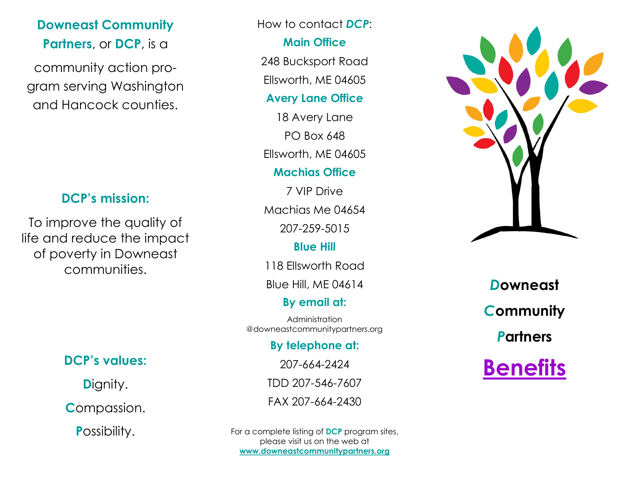# **Downeast Community Partners**, or **DCP**, is a

community action program serving Washington and Hancock counties.

## **DCP's mission:**

To improve the quality of life and reduce the impact of poverty in Downeast communities.

# **DCP's values:**

**D**ignity.

**C**ompassion.

**P**ossibility.

### How to contact *DCP*:

### **Main Office**

248 Bucksport Road

Ellsworth, ME 04605

### **Avery Lane Office**

18 Avery Lane PO Box 648 Ellsworth, ME 04605

## **Machias Office**

7 VIP Drive Machias Me 04654 207-259-5015

## **Blue Hill**

118 Ellsworth Road

Blue Hill, ME 04614

# **By email at:**

Administration @downeastcommunitypartners.org

**By telephone at:**

207-664-2424

TDD 207-546-7607

FAX 207-664-2430

For a complete listing of **DCP** program sites, please visit us on the web at **www.downeastcommunitypartners.org**



*D***owneast**  *C***ommunity**  *P***artners**